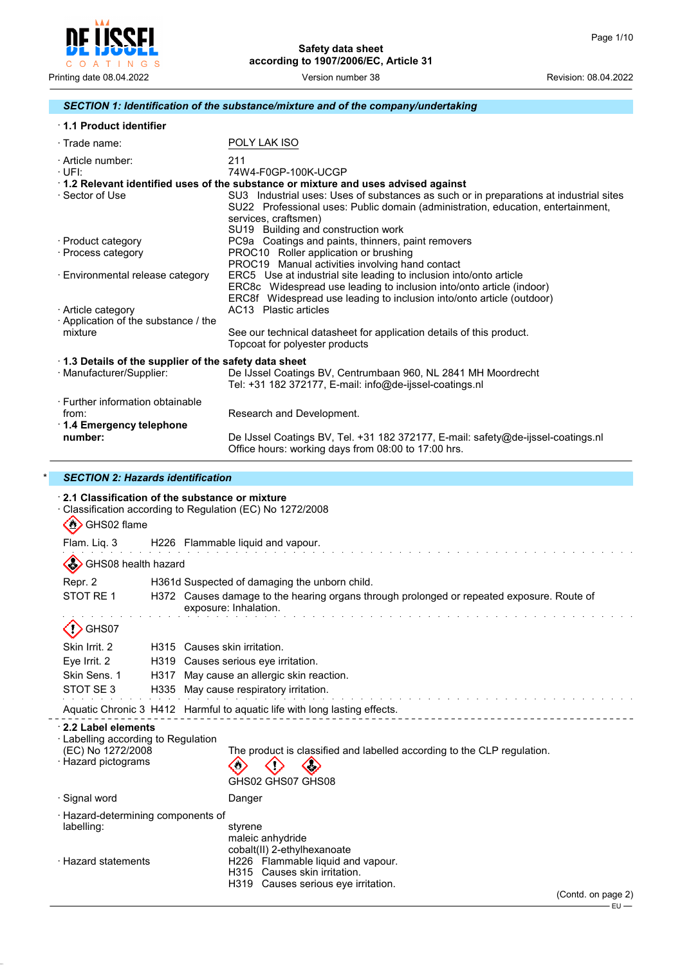

## *SECTION 1: Identification of the substance/mixture and of the company/undertaking*

| 1.1 Product identifier                                                           |                                                                                                                                                                                                                                                                                                                                |
|----------------------------------------------------------------------------------|--------------------------------------------------------------------------------------------------------------------------------------------------------------------------------------------------------------------------------------------------------------------------------------------------------------------------------|
| $\cdot$ Trade name:                                                              | POLY LAK ISO                                                                                                                                                                                                                                                                                                                   |
| · Article number:<br>·UFI:                                                       | 211<br>74W4-F0GP-100K-UCGP                                                                                                                                                                                                                                                                                                     |
| · Sector of Use                                                                  | 1.2 Relevant identified uses of the substance or mixture and uses advised against<br>SU3 Industrial uses: Uses of substances as such or in preparations at industrial sites<br>SU22 Professional uses: Public domain (administration, education, entertainment,<br>services, craftsmen)<br>SU19 Building and construction work |
| · Product category<br>· Process category                                         | PC9a Coatings and paints, thinners, paint removers<br>PROC10 Roller application or brushing<br>PROC19 Manual activities involving hand contact                                                                                                                                                                                 |
| · Environmental release category                                                 | ERC5 Use at industrial site leading to inclusion into/onto article<br>ERC8c Widespread use leading to inclusion into/onto article (indoor)<br>ERC8f Widespread use leading to inclusion into/onto article (outdoor)                                                                                                            |
| · Article category<br>Application of the substance / the                         | AC13 Plastic articles                                                                                                                                                                                                                                                                                                          |
| mixture                                                                          | See our technical datasheet for application details of this product.<br>Topcoat for polyester products                                                                                                                                                                                                                         |
| 1.3 Details of the supplier of the safety data sheet<br>· Manufacturer/Supplier: | De IJssel Coatings BV, Centrumbaan 960, NL 2841 MH Moordrecht<br>Tel: +31 182 372177, E-mail: info@de-ijssel-coatings.nl                                                                                                                                                                                                       |
| · Further information obtainable<br>from:<br>$\cdot$ 1.4 Emergency telephone     | Research and Development.                                                                                                                                                                                                                                                                                                      |
| number:                                                                          | De IJssel Coatings BV, Tel. +31 182 372177, E-mail: safety@de-ijssel-coatings.nl<br>Office hours: working days from 08:00 to 17:00 hrs.                                                                                                                                                                                        |

## \* *SECTION 2: Hazards identification*

 $\overline{a}$ 

| $\cdot$ 2.1 Classification of the substance or mixture<br>Classification according to Regulation (EC) No 1272/2008                                                                                                                 |
|------------------------------------------------------------------------------------------------------------------------------------------------------------------------------------------------------------------------------------|
| Flam. Liq. 3 H226 Flammable liquid and vapour.                                                                                                                                                                                     |
|                                                                                                                                                                                                                                    |
| H361d Suspected of damaging the unborn child.                                                                                                                                                                                      |
| H372 Causes damage to the hearing organs through prolonged or repeated exposure. Route of<br>exposure: Inhalation.                                                                                                                 |
|                                                                                                                                                                                                                                    |
| H315 Causes skin irritation.                                                                                                                                                                                                       |
| H319 Causes serious eye irritation.                                                                                                                                                                                                |
| H317 May cause an allergic skin reaction.                                                                                                                                                                                          |
| H335 May cause respiratory irritation.                                                                                                                                                                                             |
| Aquatic Chronic 3 H412 Harmful to aquatic life with long lasting effects.                                                                                                                                                          |
| · Labelling according to Regulation<br>The product is classified and labelled according to the CLP regulation.<br>GHS02 GHS07 GHS08                                                                                                |
| Danger                                                                                                                                                                                                                             |
| · Hazard-determining components of<br>styrene<br>maleic anhydride<br>cobalt(II) 2-ethylhexanoate<br>H226 Flammable liquid and vapour.<br>H315 Causes skin irritation.<br>H319 Causes serious eye irritation.<br>(Contd. on page 2) |
|                                                                                                                                                                                                                                    |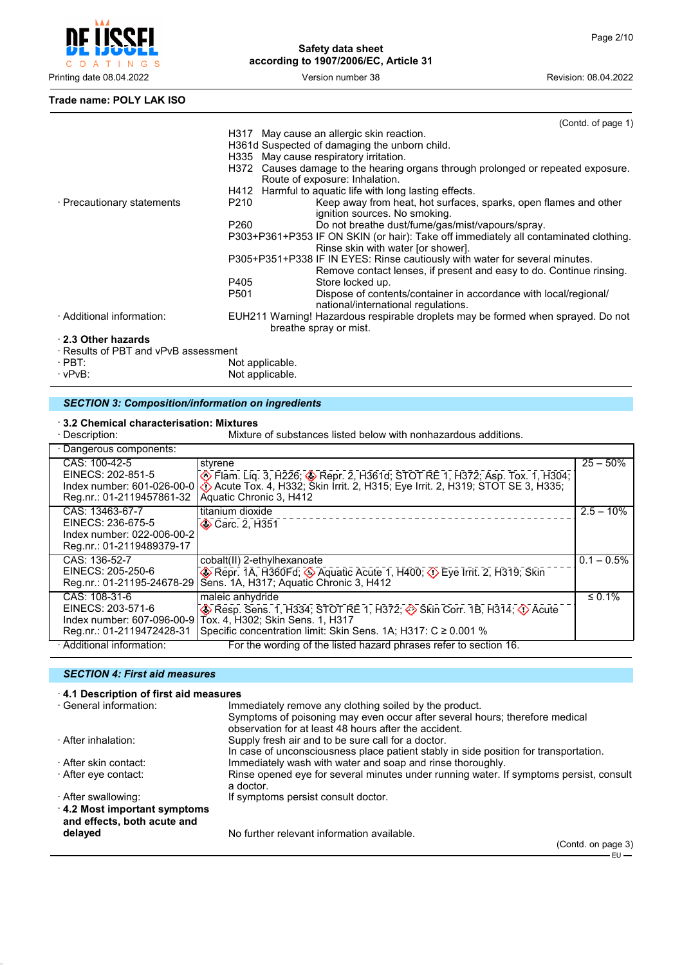

#### **Trade name: POLY LAK ISO**

|                                      |                 | (Contd. of page 1)                                                                   |
|--------------------------------------|-----------------|--------------------------------------------------------------------------------------|
|                                      |                 | H317 May cause an allergic skin reaction.                                            |
|                                      |                 | H361d Suspected of damaging the unborn child.                                        |
|                                      |                 | H335 May cause respiratory irritation.                                               |
|                                      |                 | H372 Causes damage to the hearing organs through prolonged or repeated exposure.     |
|                                      |                 | Route of exposure: Inhalation.                                                       |
|                                      |                 | H412 Harmful to aguatic life with long lasting effects.                              |
| · Precautionary statements           | P210            | Keep away from heat, hot surfaces, sparks, open flames and other                     |
|                                      |                 | ignition sources. No smoking.                                                        |
|                                      | P260            | Do not breathe dust/fume/gas/mist/vapours/spray.                                     |
|                                      |                 | P303+P361+P353 IF ON SKIN (or hair): Take off immediately all contaminated clothing. |
|                                      |                 | Rinse skin with water [or shower].                                                   |
|                                      |                 | P305+P351+P338 IF IN EYES: Rinse cautiously with water for several minutes.          |
|                                      |                 | Remove contact lenses, if present and easy to do. Continue rinsing.                  |
|                                      | P405            | Store locked up.                                                                     |
|                                      | P501            | Dispose of contents/container in accordance with local/regional/                     |
|                                      |                 | national/international regulations.                                                  |
| · Additional information:            |                 | EUH211 Warning! Hazardous respirable droplets may be formed when sprayed. Do not     |
|                                      |                 | breathe spray or mist.                                                               |
| 2.3 Other hazards                    |                 |                                                                                      |
| · Results of PBT and vPvB assessment |                 |                                                                                      |
| $\cdot$ PBT:                         | Not applicable. |                                                                                      |

 $\cdot$  vPvB:  $\cdot$  Not applicable.

#### *SECTION 3: Composition/information on ingredients*

# · **3.2 Chemical characterisation: Mixtures**

Mixture of substances listed below with nonhazardous additions.

| · Dangerous components:                                                                         |                                                                                                                                                                                                                                      |               |
|-------------------------------------------------------------------------------------------------|--------------------------------------------------------------------------------------------------------------------------------------------------------------------------------------------------------------------------------------|---------------|
| CAS: 100-42-5<br>EINECS: 202-851-5<br>Index number: 601-026-00-0<br>Reg.nr.: 01-2119457861-32   | styrene<br>Elam. Liq. 3, H226; Sepr. 2, H361d; STOT RE 1, H372; Asp. Tox. 1, H304;<br>Acute Tox. 4, H332; Škin Irrit. 2, H315; Eye Irrit. 2, H319; STOT SE 3, H335;<br>Aquatic Chronic 3, H412                                       | $25 - 50%$    |
| CAS: 13463-67-7<br>EINECS: 236-675-5<br>Index number: 022-006-00-2<br>Reg.nr.: 01-2119489379-17 | titanium dioxide<br><b>◆ Carc. 2. H351</b>                                                                                                                                                                                           | $2.5 - 10\%$  |
| CAS: 136-52-7<br>EINECS: 205-250-6<br>Reg.nr.: 01-21195-24678-29                                | cobalt(II) 2-ethylhexanoate<br>$\circledast$ Repr. 1A, H360Fd; $\circledast$ Aquatic Acute 1, H400; $\circledast$ Eye Irrit. 2, H319; Skin<br>Sens. 1A, H317; Aquatic Chronic 3, H412                                                | $0.1 - 0.5\%$ |
| CAS: 108-31-6<br>EINECS: 203-571-6<br>Index number: 607-096-00-9<br>Reg.nr.: 01-2119472428-31   | maleic anhydride<br>$\circledast$ Resp. Sens. 1, H334; STOT RE 1, H372; $\circledast$ Skin Corr. 1B, H314; $\circledast$ Acute<br>Tox. 4, H302; Skin Sens. 1, H317<br>Specific concentration limit: Skin Sens. 1A; H317: C ≥ 0.001 % | $\leq 0.1\%$  |
| · Additional information:                                                                       | For the wording of the listed hazard phrases refer to section 16.                                                                                                                                                                    |               |

## *SECTION 4: First aid measures*

#### · **4.1 Description of first aid measures**

| · General information:      | Immediately remove any clothing soiled by the product.                                 |
|-----------------------------|----------------------------------------------------------------------------------------|
|                             | Symptoms of poisoning may even occur after several hours; therefore medical            |
|                             | observation for at least 48 hours after the accident.                                  |
| · After inhalation:         | Supply fresh air and to be sure call for a doctor.                                     |
|                             | In case of unconsciousness place patient stably in side position for transportation.   |
| · After skin contact:       | Immediately wash with water and soap and rinse thoroughly.                             |
| · After eγe contact:        | Rinse opened eye for several minutes under running water. If symptoms persist, consult |
|                             | a doctor.                                                                              |
| · After swallowing:         | If symptoms persist consult doctor.                                                    |
| 4.2 Most important symptoms |                                                                                        |
| and effects, both acute and |                                                                                        |
| delayed                     | No further relevant information available.                                             |
|                             |                                                                                        |

(Contd. on page 3) – EU –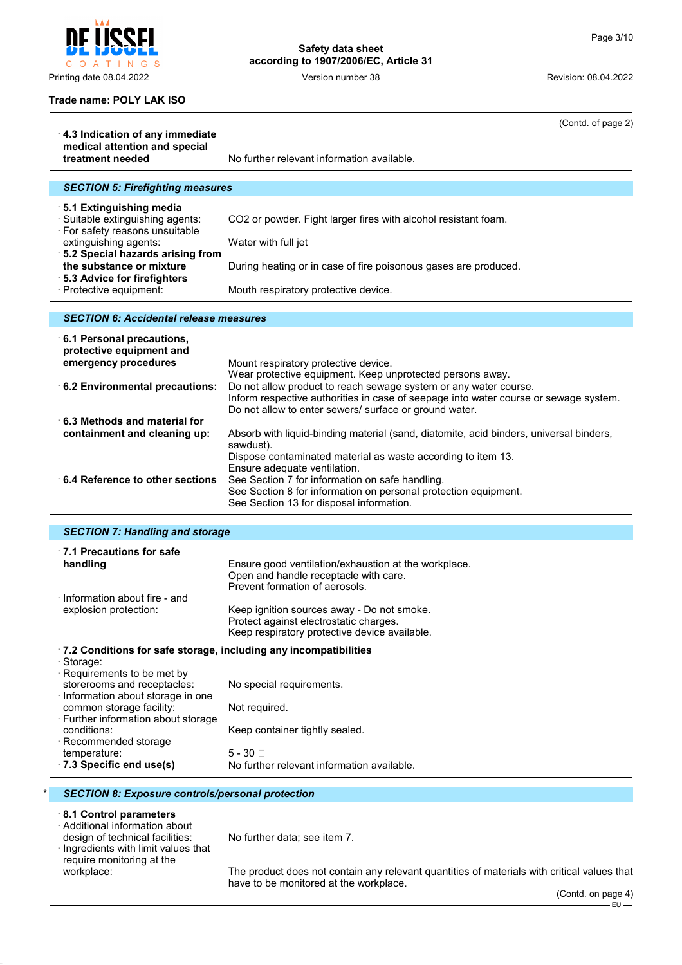Į C O A T I N G S

# **Safety data sheet according to 1907/2006/EC, Article 31**

Printing date 08.04.2022 **Version number 38** Version number 38 Revision: 08.04.2022

(Contd. of page 2)

## **Trade name: POLY LAK ISO**

| 4.3 Indication of any immediate                                                                                                   | Ooma. or pago 27                                                                                                                                                                                                                                                                |
|-----------------------------------------------------------------------------------------------------------------------------------|---------------------------------------------------------------------------------------------------------------------------------------------------------------------------------------------------------------------------------------------------------------------------------|
| medical attention and special<br>treatment needed                                                                                 | No further relevant information available.                                                                                                                                                                                                                                      |
| <b>SECTION 5: Firefighting measures</b>                                                                                           |                                                                                                                                                                                                                                                                                 |
| ⋅5.1 Extinguishing media<br>· Suitable extinguishing agents:                                                                      | CO2 or powder. Fight larger fires with alcohol resistant foam.                                                                                                                                                                                                                  |
| · For safety reasons unsuitable<br>extinguishing agents:<br>5.2 Special hazards arising from                                      | Water with full jet                                                                                                                                                                                                                                                             |
| the substance or mixture<br>5.3 Advice for firefighters                                                                           | During heating or in case of fire poisonous gases are produced.                                                                                                                                                                                                                 |
| · Protective equipment:                                                                                                           | Mouth respiratory protective device.                                                                                                                                                                                                                                            |
| <b>SECTION 6: Accidental release measures</b>                                                                                     |                                                                                                                                                                                                                                                                                 |
| $\cdot$ 6.1 Personal precautions,<br>protective equipment and<br>emergency procedures                                             | Mount respiratory protective device.                                                                                                                                                                                                                                            |
| 6.2 Environmental precautions:                                                                                                    | Wear protective equipment. Keep unprotected persons away.<br>Do not allow product to reach sewage system or any water course.<br>Inform respective authorities in case of seepage into water course or sewage system.<br>Do not allow to enter sewers/ surface or ground water. |
| $\cdot$ 6.3 Methods and material for<br>containment and cleaning up:                                                              | Absorb with liquid-binding material (sand, diatomite, acid binders, universal binders,<br>sawdust).                                                                                                                                                                             |
| $\cdot$ 6.4 Reference to other sections                                                                                           | Dispose contaminated material as waste according to item 13.<br>Ensure adequate ventilation.<br>See Section 7 for information on safe handling.<br>See Section 8 for information on personal protection equipment.<br>See Section 13 for disposal information.                  |
| <b>SECTION 7: Handling and storage</b>                                                                                            |                                                                                                                                                                                                                                                                                 |
| $\cdot$ 7.1 Precautions for safe<br>handling                                                                                      | Ensure good ventilation/exhaustion at the workplace.<br>Open and handle receptacle with care.<br>Prevent formation of aerosols.                                                                                                                                                 |
| · Information about fire - and<br>explosion protection:                                                                           | Keep ignition sources away - Do not smoke.<br>Protect against electrostatic charges.<br>Keep respiratory protective device available.                                                                                                                                           |
| .7.2 Conditions for safe storage, including any incompatibilities<br>· Storage:                                                   |                                                                                                                                                                                                                                                                                 |
| · Requirements to be met by<br>storerooms and receptacles:                                                                        | No special requirements.                                                                                                                                                                                                                                                        |
| · Information about storage in one<br>common storage facility:<br>· Further information about storage                             | Not required.                                                                                                                                                                                                                                                                   |
| conditions:<br>· Recommended storage                                                                                              | Keep container tightly sealed.                                                                                                                                                                                                                                                  |
| temperature:<br>· 7.3 Specific end use(s)                                                                                         | $5 - 30$<br>No further relevant information available.                                                                                                                                                                                                                          |
| <b>SECTION 8: Exposure controls/personal protection</b>                                                                           |                                                                                                                                                                                                                                                                                 |
| 8.1 Control parameters<br>· Additional information about<br>design of technical facilities:<br>Ingredients with limit values that | No further data; see item 7.                                                                                                                                                                                                                                                    |
| require monitoring at the<br>workplace:                                                                                           | The product does not contain any relevant quantities of materials with critical values that<br>have to be monitored at the workplace.<br>(Contd. on page 4)                                                                                                                     |
|                                                                                                                                   | $EU -$                                                                                                                                                                                                                                                                          |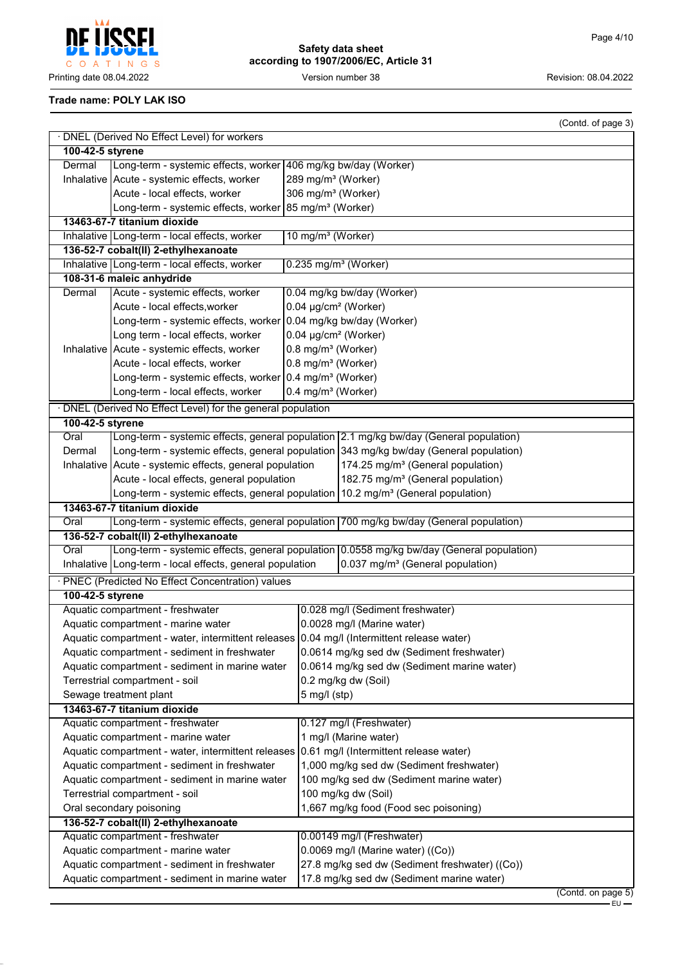**CCEI** Į C O A T I N G S Printing date 08.04.2022 **Version number 38** Version number 38 Revision: 08.04.2022

**Safety data sheet according to 1907/2006/EC, Article 31**

## **Trade name: POLY LAK ISO**

|                                                    |                                                                                                                                   | (Contd. of page 3)                                                                             |  |  |  |  |  |
|----------------------------------------------------|-----------------------------------------------------------------------------------------------------------------------------------|------------------------------------------------------------------------------------------------|--|--|--|--|--|
|                                                    | · DNEL (Derived No Effect Level) for workers                                                                                      |                                                                                                |  |  |  |  |  |
|                                                    | 100-42-5 styrene                                                                                                                  |                                                                                                |  |  |  |  |  |
| Dermal                                             | Long-term - systemic effects, worker 406 mg/kg bw/day (Worker)                                                                    |                                                                                                |  |  |  |  |  |
|                                                    | Inhalative Acute - systemic effects, worker                                                                                       | 289 mg/m <sup>3</sup> (Worker)                                                                 |  |  |  |  |  |
|                                                    | Acute - local effects, worker                                                                                                     | 306 mg/m <sup>3</sup> (Worker)                                                                 |  |  |  |  |  |
|                                                    | Long-term - systemic effects, worker 85 mg/m <sup>3</sup> (Worker)                                                                |                                                                                                |  |  |  |  |  |
|                                                    | 13463-67-7 titanium dioxide                                                                                                       |                                                                                                |  |  |  |  |  |
|                                                    | Inhalative   Long-term - local effects, worker                                                                                    | 10 mg/m <sup>3</sup> (Worker)                                                                  |  |  |  |  |  |
|                                                    | 136-52-7 cobalt(II) 2-ethylhexanoate                                                                                              |                                                                                                |  |  |  |  |  |
|                                                    | Inhalative Long-term - local effects, worker                                                                                      | $0.235$ mg/m <sup>3</sup> (Worker)                                                             |  |  |  |  |  |
|                                                    | 108-31-6 maleic anhydride                                                                                                         |                                                                                                |  |  |  |  |  |
| Dermal                                             | Acute - systemic effects, worker                                                                                                  | 0.04 mg/kg bw/day (Worker)                                                                     |  |  |  |  |  |
|                                                    | Acute - local effects, worker                                                                                                     | 0.04 µg/cm <sup>2</sup> (Worker)                                                               |  |  |  |  |  |
|                                                    | Long-term - systemic effects, worker 0.04 mg/kg bw/day (Worker)                                                                   |                                                                                                |  |  |  |  |  |
|                                                    | Long term - local effects, worker                                                                                                 | 0.04 µg/cm <sup>2</sup> (Worker)                                                               |  |  |  |  |  |
|                                                    | Inhalative   Acute - systemic effects, worker                                                                                     | 0.8 mg/m <sup>3</sup> (Worker)                                                                 |  |  |  |  |  |
|                                                    | Acute - local effects, worker                                                                                                     | 0.8 mg/m <sup>3</sup> (Worker)                                                                 |  |  |  |  |  |
|                                                    | Long-term - systemic effects, worker 0.4 mg/m <sup>3</sup> (Worker)                                                               |                                                                                                |  |  |  |  |  |
|                                                    | Long-term - local effects, worker                                                                                                 | 0.4 mg/m <sup>3</sup> (Worker)                                                                 |  |  |  |  |  |
|                                                    | · DNEL (Derived No Effect Level) for the general population                                                                       |                                                                                                |  |  |  |  |  |
| 100-42-5 styrene                                   |                                                                                                                                   |                                                                                                |  |  |  |  |  |
| Oral                                               |                                                                                                                                   | Long-term - systemic effects, general population 2.1 mg/kg bw/day (General population)         |  |  |  |  |  |
| Dermal                                             |                                                                                                                                   | Long-term - systemic effects, general population 343 mg/kg bw/day (General population)         |  |  |  |  |  |
|                                                    | Inhalative   Acute - systemic effects, general population                                                                         | 174.25 mg/m <sup>3</sup> (General population)                                                  |  |  |  |  |  |
|                                                    | Acute - local effects, general population                                                                                         | 182.75 mg/m <sup>3</sup> (General population)                                                  |  |  |  |  |  |
|                                                    | 13463-67-7 titanium dioxide                                                                                                       | Long-term - systemic effects, general population   10.2 mg/m <sup>3</sup> (General population) |  |  |  |  |  |
| Oral                                               |                                                                                                                                   | Long-term - systemic effects, general population 700 mg/kg bw/day (General population)         |  |  |  |  |  |
|                                                    |                                                                                                                                   |                                                                                                |  |  |  |  |  |
| Oral                                               | 136-52-7 cobalt(II) 2-ethylhexanoate<br>Long-term - systemic effects, general population 0.0558 mg/kg bw/day (General population) |                                                                                                |  |  |  |  |  |
|                                                    | Inhalative   Long-term - local effects, general population                                                                        | 0.037 mg/m <sup>3</sup> (General population)                                                   |  |  |  |  |  |
|                                                    | · PNEC (Predicted No Effect Concentration) values                                                                                 |                                                                                                |  |  |  |  |  |
| 100-42-5 styrene                                   |                                                                                                                                   |                                                                                                |  |  |  |  |  |
|                                                    | Aquatic compartment - freshwater                                                                                                  | 0.028 mg/l (Sediment freshwater)                                                               |  |  |  |  |  |
|                                                    | Aquatic compartment - marine water                                                                                                | 0.0028 mg/l (Marine water)                                                                     |  |  |  |  |  |
|                                                    |                                                                                                                                   | Aquatic compartment - water, intermittent releases 0.04 mg/l (Intermittent release water)      |  |  |  |  |  |
|                                                    | Aquatic compartment - sediment in freshwater                                                                                      | 0.0614 mg/kg sed dw (Sediment freshwater)                                                      |  |  |  |  |  |
|                                                    | Aquatic compartment - sediment in marine water                                                                                    | 0.0614 mg/kg sed dw (Sediment marine water)                                                    |  |  |  |  |  |
|                                                    | Terrestrial compartment - soil                                                                                                    | 0.2 mg/kg dw (Soil)                                                                            |  |  |  |  |  |
|                                                    |                                                                                                                                   | $5$ mg/l (stp)                                                                                 |  |  |  |  |  |
|                                                    | Sewage treatment plant<br>13463-67-7 titanium dioxide                                                                             |                                                                                                |  |  |  |  |  |
|                                                    | Aquatic compartment - freshwater                                                                                                  | 0.127 mg/l (Freshwater)                                                                        |  |  |  |  |  |
| Aquatic compartment - marine water                 |                                                                                                                                   | 1 mg/l (Marine water)                                                                          |  |  |  |  |  |
| Aquatic compartment - water, intermittent releases |                                                                                                                                   | 0.61 mg/l (Intermittent release water)                                                         |  |  |  |  |  |
| Aquatic compartment - sediment in freshwater       |                                                                                                                                   | 1,000 mg/kg sed dw (Sediment freshwater)                                                       |  |  |  |  |  |
|                                                    | Aquatic compartment - sediment in marine water                                                                                    | 100 mg/kg sed dw (Sediment marine water)                                                       |  |  |  |  |  |
|                                                    | Terrestrial compartment - soil                                                                                                    | 100 mg/kg dw (Soil)                                                                            |  |  |  |  |  |
|                                                    | Oral secondary poisoning                                                                                                          | 1,667 mg/kg food (Food sec poisoning)                                                          |  |  |  |  |  |
| 136-52-7 cobalt(II) 2-ethylhexanoate               |                                                                                                                                   |                                                                                                |  |  |  |  |  |
|                                                    | Aquatic compartment - freshwater                                                                                                  | 0.00149 mg/l (Freshwater)                                                                      |  |  |  |  |  |
|                                                    | Aquatic compartment - marine water                                                                                                | 0.0069 mg/l (Marine water) ((Co))                                                              |  |  |  |  |  |
|                                                    | Aquatic compartment - sediment in freshwater                                                                                      | 27.8 mg/kg sed dw (Sediment freshwater) ((Co))                                                 |  |  |  |  |  |
|                                                    | Aquatic compartment - sediment in marine water                                                                                    | 17.8 mg/kg sed dw (Sediment marine water)                                                      |  |  |  |  |  |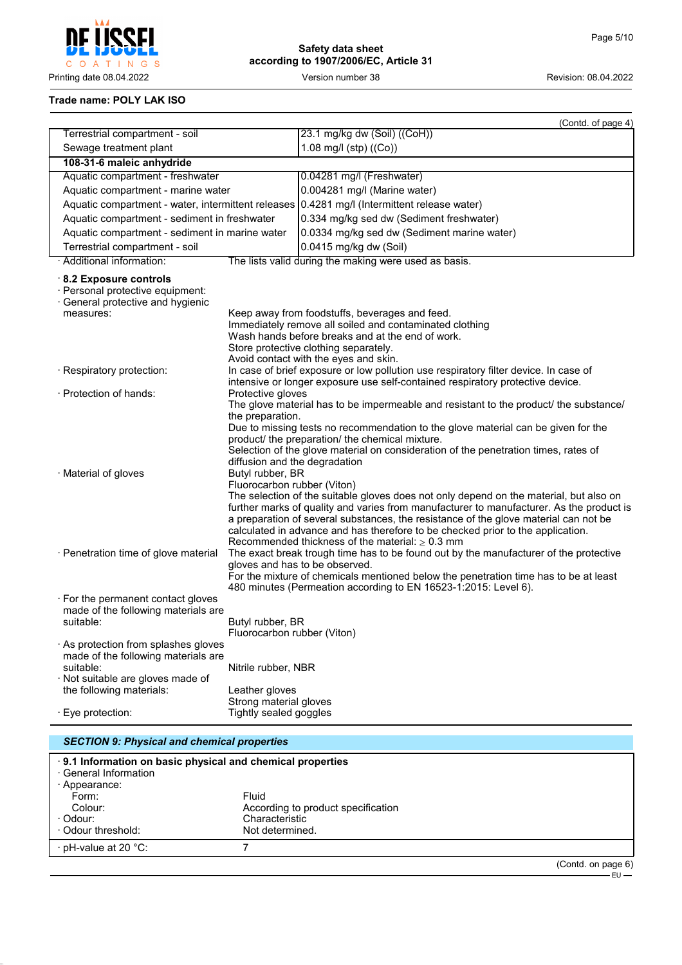

# **Safety data sheet according to 1907/2006/EC, Article 31**

## **Trade name: POLY LAK ISO**

|                                                                                                                              |                                                                                                                                                                                                                                                                                                                                                                                                                                                                                                                       | (Contd. of page 4)                                                                                                                                                                                                                                                                                                                                                                                                |  |  |
|------------------------------------------------------------------------------------------------------------------------------|-----------------------------------------------------------------------------------------------------------------------------------------------------------------------------------------------------------------------------------------------------------------------------------------------------------------------------------------------------------------------------------------------------------------------------------------------------------------------------------------------------------------------|-------------------------------------------------------------------------------------------------------------------------------------------------------------------------------------------------------------------------------------------------------------------------------------------------------------------------------------------------------------------------------------------------------------------|--|--|
| Terrestrial compartment - soil                                                                                               |                                                                                                                                                                                                                                                                                                                                                                                                                                                                                                                       | 23.1 mg/kg dw (Soil) ((CoH))                                                                                                                                                                                                                                                                                                                                                                                      |  |  |
| Sewage treatment plant                                                                                                       |                                                                                                                                                                                                                                                                                                                                                                                                                                                                                                                       | 1.08 mg/l (stp) ((Co))                                                                                                                                                                                                                                                                                                                                                                                            |  |  |
| 108-31-6 maleic anhydride                                                                                                    |                                                                                                                                                                                                                                                                                                                                                                                                                                                                                                                       |                                                                                                                                                                                                                                                                                                                                                                                                                   |  |  |
| Aquatic compartment - freshwater                                                                                             |                                                                                                                                                                                                                                                                                                                                                                                                                                                                                                                       | 0.04281 mg/l (Freshwater)                                                                                                                                                                                                                                                                                                                                                                                         |  |  |
| Aquatic compartment - marine water                                                                                           |                                                                                                                                                                                                                                                                                                                                                                                                                                                                                                                       | 0.004281 mg/l (Marine water)                                                                                                                                                                                                                                                                                                                                                                                      |  |  |
|                                                                                                                              |                                                                                                                                                                                                                                                                                                                                                                                                                                                                                                                       | Aquatic compartment - water, intermittent releases 0.4281 mg/l (Intermittent release water)                                                                                                                                                                                                                                                                                                                       |  |  |
| Aquatic compartment - sediment in freshwater                                                                                 |                                                                                                                                                                                                                                                                                                                                                                                                                                                                                                                       | 0.334 mg/kg sed dw (Sediment freshwater)                                                                                                                                                                                                                                                                                                                                                                          |  |  |
| Aquatic compartment - sediment in marine water                                                                               |                                                                                                                                                                                                                                                                                                                                                                                                                                                                                                                       | 0.0334 mg/kg sed dw (Sediment marine water)                                                                                                                                                                                                                                                                                                                                                                       |  |  |
| Terrestrial compartment - soil                                                                                               |                                                                                                                                                                                                                                                                                                                                                                                                                                                                                                                       | 0.0415 mg/kg dw (Soil)                                                                                                                                                                                                                                                                                                                                                                                            |  |  |
| · Additional information:                                                                                                    |                                                                                                                                                                                                                                                                                                                                                                                                                                                                                                                       | The lists valid during the making were used as basis.                                                                                                                                                                                                                                                                                                                                                             |  |  |
| 8.2 Exposure controls<br>· Personal protective equipment:<br>General protective and hygienic<br>measures:                    |                                                                                                                                                                                                                                                                                                                                                                                                                                                                                                                       | Keep away from foodstuffs, beverages and feed.<br>Immediately remove all soiled and contaminated clothing<br>Wash hands before breaks and at the end of work.<br>Store protective clothing separately.                                                                                                                                                                                                            |  |  |
| · Respiratory protection:                                                                                                    |                                                                                                                                                                                                                                                                                                                                                                                                                                                                                                                       | Avoid contact with the eyes and skin.<br>In case of brief exposure or low pollution use respiratory filter device. In case of<br>intensive or longer exposure use self-contained respiratory protective device.                                                                                                                                                                                                   |  |  |
| · Protection of hands:                                                                                                       | Protective gloves                                                                                                                                                                                                                                                                                                                                                                                                                                                                                                     | The glove material has to be impermeable and resistant to the product/ the substance/                                                                                                                                                                                                                                                                                                                             |  |  |
| · Material of gloves                                                                                                         | the preparation.<br>diffusion and the degradation<br>Butyl rubber, BR<br>Fluorocarbon rubber (Viton)                                                                                                                                                                                                                                                                                                                                                                                                                  | Due to missing tests no recommendation to the glove material can be given for the<br>product/ the preparation/ the chemical mixture.<br>Selection of the glove material on consideration of the penetration times, rates of<br>The selection of the suitable gloves does not only depend on the material, but also on<br>further marks of quality and varies from manufacturer to manufacturer. As the product is |  |  |
| · Penetration time of glove material                                                                                         | a preparation of several substances, the resistance of the glove material can not be<br>calculated in advance and has therefore to be checked prior to the application.<br>Recommended thickness of the material: $\geq 0.3$ mm<br>The exact break trough time has to be found out by the manufacturer of the protective<br>gloves and has to be observed.<br>For the mixture of chemicals mentioned below the penetration time has to be at least<br>480 minutes (Permeation according to EN 16523-1:2015: Level 6). |                                                                                                                                                                                                                                                                                                                                                                                                                   |  |  |
| · For the permanent contact gloves<br>made of the following materials are<br>suitable:<br>As protection from splashes gloves | Butyl rubber, BR<br>Fluorocarbon rubber (Viton)                                                                                                                                                                                                                                                                                                                                                                                                                                                                       |                                                                                                                                                                                                                                                                                                                                                                                                                   |  |  |
| made of the following materials are<br>suitable:<br>· Not suitable are gloves made of<br>the following materials:            | Nitrile rubber, NBR<br>Leather gloves                                                                                                                                                                                                                                                                                                                                                                                                                                                                                 |                                                                                                                                                                                                                                                                                                                                                                                                                   |  |  |
| Eye protection:                                                                                                              | Strong material gloves<br>Tightly sealed goggles                                                                                                                                                                                                                                                                                                                                                                                                                                                                      |                                                                                                                                                                                                                                                                                                                                                                                                                   |  |  |
| <b>SECTION 9: Physical and chemical properties</b>                                                                           |                                                                                                                                                                                                                                                                                                                                                                                                                                                                                                                       |                                                                                                                                                                                                                                                                                                                                                                                                                   |  |  |

| 9.1 Information on basic physical and chemical properties |                                    |                    |  |  |  |
|-----------------------------------------------------------|------------------------------------|--------------------|--|--|--|
| · General Information                                     |                                    |                    |  |  |  |
| · Appearance:                                             |                                    |                    |  |  |  |
| Form:                                                     | Fluid                              |                    |  |  |  |
| Colour:                                                   | According to product specification |                    |  |  |  |
| · Odour:                                                  | Characteristic                     |                    |  |  |  |
| Odour threshold:                                          | Not determined.                    |                    |  |  |  |
| · pH-value at 20 °C:                                      |                                    |                    |  |  |  |
|                                                           |                                    | (Contd. on page 6) |  |  |  |

EU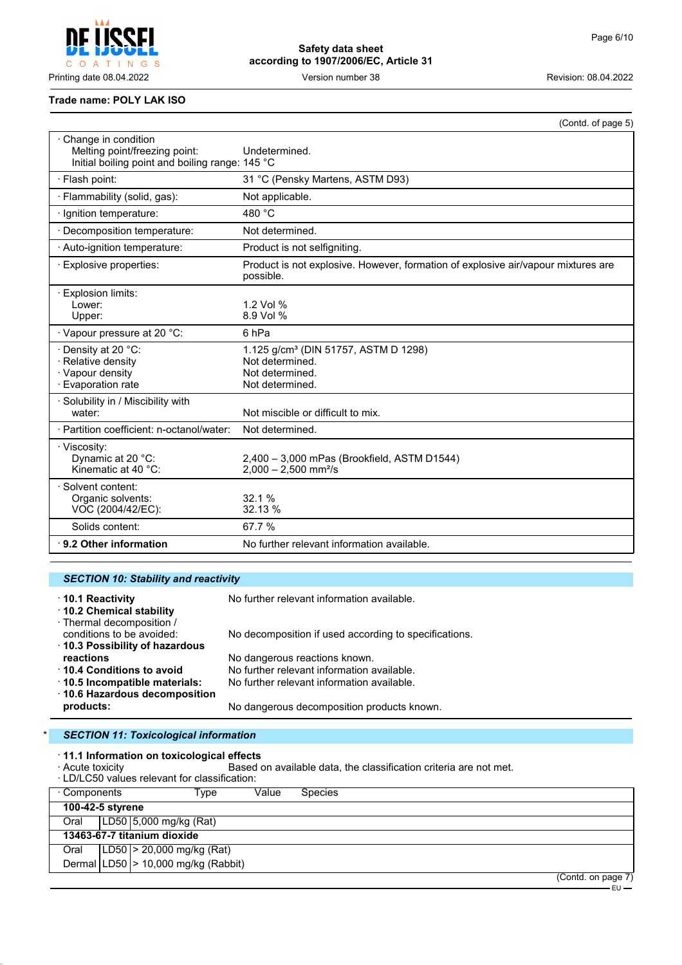$\mathsf{C}$  $O$  A  $\top$ INGS

**Safety data sheet according to 1907/2006/EC, Article 31**

Printing date 08.04.2022 Version number 38 Revision: 08.04.2022

#### **Trade name: POLY LAK ISO**

|                                                                                                         | (Contd. of page 5)                                                                                        |
|---------------------------------------------------------------------------------------------------------|-----------------------------------------------------------------------------------------------------------|
| Change in condition<br>Melting point/freezing point:<br>Initial boiling point and boiling range: 145 °C | Undetermined.                                                                                             |
| · Flash point:                                                                                          | 31 °C (Pensky Martens, ASTM D93)                                                                          |
| · Flammability (solid, gas):                                                                            | Not applicable.                                                                                           |
| Ignition temperature:                                                                                   | 480 °C                                                                                                    |
| Decomposition temperature:                                                                              | Not determined.                                                                                           |
| · Auto-ignition temperature:                                                                            | Product is not selfigniting.                                                                              |
| · Explosive properties:                                                                                 | Product is not explosive. However, formation of explosive air/vapour mixtures are<br>possible.            |
| Explosion limits:<br>Lower:<br>Upper:                                                                   | 1.2 Vol %<br>8.9 Vol %                                                                                    |
| · Vapour pressure at 20 °C:                                                                             | 6 <sub>hPa</sub>                                                                                          |
| · Density at 20 °C:<br>· Relative density<br>· Vapour density<br>· Evaporation rate                     | 1.125 g/cm <sup>3</sup> (DIN 51757, ASTM D 1298)<br>Not determined.<br>Not determined.<br>Not determined. |
| · Solubility in / Miscibility with<br>water:                                                            | Not miscible or difficult to mix.                                                                         |
| · Partition coefficient: n-octanol/water:                                                               | Not determined.                                                                                           |
| · Viscosity:<br>Dynamic at 20 °C:<br>Kinematic at 40 °C:                                                | 2,400 - 3,000 mPas (Brookfield, ASTM D1544)<br>$2,000 - 2,500$ mm <sup>2</sup> /s                         |
| Solvent content:<br>Organic solvents:<br>VOC (2004/42/EC):                                              | 32.1 %<br>32.13 %                                                                                         |
| Solids content:                                                                                         | 67.7%                                                                                                     |
| $\cdot$ 9.2 Other information                                                                           | No further relevant information available.                                                                |

## *SECTION 10: Stability and reactivity*

| 10.1 Reactivity<br>10.2 Chemical stability                                              | No further relevant information available.            |
|-----------------------------------------------------------------------------------------|-------------------------------------------------------|
| · Thermal decomposition /<br>conditions to be avoided:<br>10.3 Possibility of hazardous | No decomposition if used according to specifications. |
| reactions                                                                               | No dangerous reactions known.                         |
| ↑ 10.4 Conditions to avoid                                                              | No further relevant information available.            |
| 10.5 Incompatible materials:                                                            | No further relevant information available.            |
| ⋅ 10.6 Hazardous decomposition                                                          |                                                       |
| products:                                                                               | No dangerous decomposition products known.            |

## **SECTION 11: Toxicological information**

· **11.1 Information on toxicological effects**

Based on available data, the classification criteria are not met.

| <b><i>I</i></b> NUMBER CONTOILY | . LD/LC50 values relevant for classification: |       | Babba on available data, the classification chitena are not mot. |  |                    |
|---------------------------------|-----------------------------------------------|-------|------------------------------------------------------------------|--|--------------------|
| ⋅ Components                    | Type                                          | Value | <b>Species</b>                                                   |  |                    |
| 100-42-5 styrene                |                                               |       |                                                                  |  |                    |
| Oral                            | LD50 5,000 mg/kg (Rat)                        |       |                                                                  |  |                    |
|                                 | 13463-67-7 titanium dioxide                   |       |                                                                  |  |                    |
| Oral                            | [LD50   > 20,000 mg/kg (Rat)                  |       |                                                                  |  |                    |
|                                 | Dermal $ LD50 $ > 10,000 mg/kg (Rabbit)       |       |                                                                  |  |                    |
|                                 |                                               |       |                                                                  |  | (Contd. on page 7) |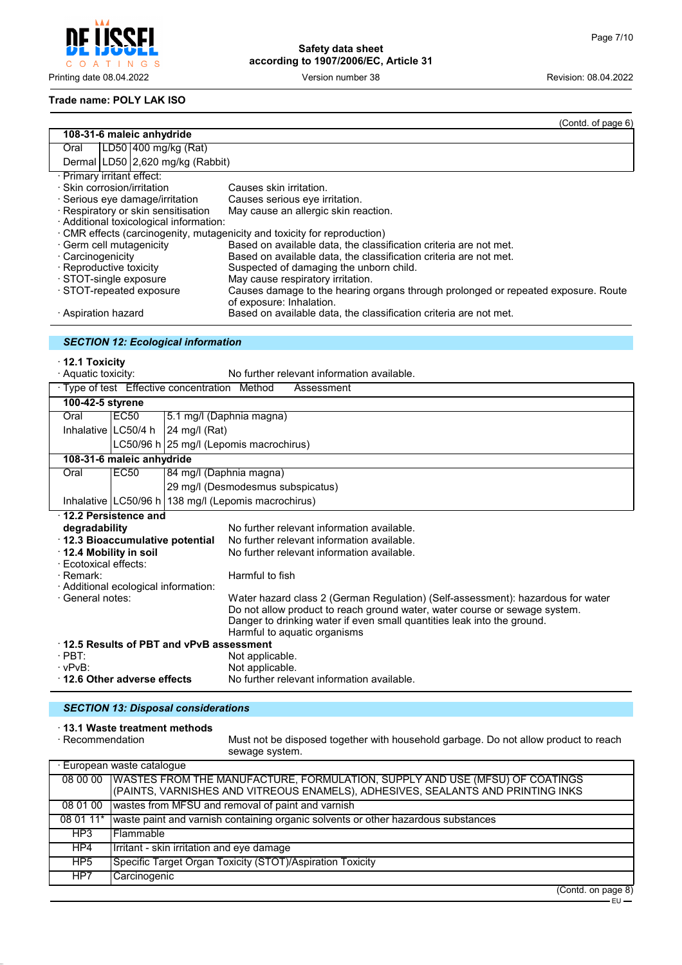$\mathsf{C}$ O A T I N G S

**Safety data sheet according to 1907/2006/EC, Article 31**

Printing date 08.04.2022 Version number 38 Revision: 08.04.2022

#### **Trade name: POLY LAK ISO**

|                                                                                |                                      |                                               | (Contd. of page 6)                                                                                                                     |  |  |
|--------------------------------------------------------------------------------|--------------------------------------|-----------------------------------------------|----------------------------------------------------------------------------------------------------------------------------------------|--|--|
| 108-31-6 maleic anhydride                                                      |                                      |                                               |                                                                                                                                        |  |  |
| LD50 400 mg/kg (Rat)<br>Oral                                                   |                                      |                                               |                                                                                                                                        |  |  |
|                                                                                |                                      | Dermal LD50 2,620 mg/kg (Rabbit)              |                                                                                                                                        |  |  |
|                                                                                | · Primary irritant effect:           |                                               |                                                                                                                                        |  |  |
| · Skin corrosion/irritation                                                    |                                      |                                               | Causes skin irritation.                                                                                                                |  |  |
| · Serious eye damage/irritation                                                |                                      |                                               | Causes serious eye irritation.                                                                                                         |  |  |
| · Respiratory or skin sensitisation<br>· Additional toxicological information: |                                      |                                               | May cause an allergic skin reaction.                                                                                                   |  |  |
|                                                                                |                                      |                                               |                                                                                                                                        |  |  |
|                                                                                |                                      |                                               | CMR effects (carcinogenity, mutagenicity and toxicity for reproduction)                                                                |  |  |
| Carcinogenicity                                                                | · Germ cell mutagenicity             |                                               | Based on available data, the classification criteria are not met.<br>Based on available data, the classification criteria are not met. |  |  |
| · Reproductive toxicity                                                        |                                      |                                               | Suspected of damaging the unborn child.                                                                                                |  |  |
|                                                                                | STOT-single exposure                 |                                               | May cause respiratory irritation.                                                                                                      |  |  |
|                                                                                | · STOT-repeated exposure             |                                               | Causes damage to the hearing organs through prolonged or repeated exposure. Route                                                      |  |  |
|                                                                                |                                      |                                               | of exposure: Inhalation.                                                                                                               |  |  |
| $\cdot$ Aspiration hazard                                                      |                                      |                                               | Based on available data, the classification criteria are not met.                                                                      |  |  |
|                                                                                |                                      |                                               |                                                                                                                                        |  |  |
|                                                                                |                                      | <b>SECTION 12: Ecological information</b>     |                                                                                                                                        |  |  |
|                                                                                |                                      |                                               |                                                                                                                                        |  |  |
| $\cdot$ 12.1 Toxicity                                                          |                                      |                                               |                                                                                                                                        |  |  |
| · Aquatic toxicity:                                                            |                                      |                                               | No further relevant information available.                                                                                             |  |  |
|                                                                                |                                      | · Type of test Effective concentration Method | Assessment                                                                                                                             |  |  |
| 100-42-5 styrene                                                               |                                      |                                               |                                                                                                                                        |  |  |
| Oral                                                                           | EC <sub>50</sub>                     |                                               | 5.1 mg/l (Daphnia magna)                                                                                                               |  |  |
| Inhalative   LC50/4 h                                                          |                                      | 24 mg/l (Rat)                                 |                                                                                                                                        |  |  |
|                                                                                |                                      |                                               | LC50/96 h 25 mg/l (Lepomis macrochirus)                                                                                                |  |  |
|                                                                                | 108-31-6 maleic anhydride            |                                               |                                                                                                                                        |  |  |
| Oral                                                                           | EC50                                 |                                               | 84 mg/l (Daphnia magna)                                                                                                                |  |  |
|                                                                                |                                      |                                               | 29 mg/l (Desmodesmus subspicatus)                                                                                                      |  |  |
|                                                                                |                                      |                                               | Inhalative   LC50/96 h   138 mg/l (Lepomis macrochirus)                                                                                |  |  |
|                                                                                | 12.2 Persistence and                 |                                               |                                                                                                                                        |  |  |
| degradability                                                                  |                                      |                                               | No further relevant information available.                                                                                             |  |  |
|                                                                                | 12.3 Bioaccumulative potential       |                                               | No further relevant information available.                                                                                             |  |  |
| 12.4 Mobility in soil                                                          |                                      |                                               | No further relevant information available.                                                                                             |  |  |
| · Ecotoxical effects:                                                          |                                      |                                               |                                                                                                                                        |  |  |
| · Remark:                                                                      |                                      |                                               | Harmful to fish                                                                                                                        |  |  |
|                                                                                | · Additional ecological information: |                                               |                                                                                                                                        |  |  |
| · General notes:                                                               |                                      |                                               | Water hazard class 2 (German Regulation) (Self-assessment): hazardous for water                                                        |  |  |
|                                                                                |                                      |                                               | Do not allow product to reach ground water, water course or sewage system.                                                             |  |  |
|                                                                                |                                      |                                               | Danger to drinking water if even small quantities leak into the ground.                                                                |  |  |
|                                                                                |                                      |                                               | Harmful to aquatic organisms                                                                                                           |  |  |
|                                                                                |                                      | 12.5 Results of PBT and vPvB assessment       |                                                                                                                                        |  |  |
| $\cdot$ PBT:                                                                   |                                      |                                               | Not applicable.                                                                                                                        |  |  |
| $\cdot$ vPvB:                                                                  |                                      |                                               | Not applicable.                                                                                                                        |  |  |
| 12.6 Other adverse effects                                                     |                                      |                                               | No further relevant information available.                                                                                             |  |  |
|                                                                                |                                      |                                               |                                                                                                                                        |  |  |

## *SECTION 13: Disposal considerations*

# · **13.1 Waste treatment methods**

Must not be disposed together with household garbage. Do not allow product to reach sewage system.

| · European waste catalogue |                                                                                                                                                                           |  |  |  |
|----------------------------|---------------------------------------------------------------------------------------------------------------------------------------------------------------------------|--|--|--|
|                            | 08 00 00   WASTES FROM THE MANUFACTURE, FORMULATION, SUPPLY AND USE (MFSU) OF COATINGS<br>(PAINTS, VARNISHES AND VITREOUS ENAMELS), ADHESIVES, SEALANTS AND PRINTING INKS |  |  |  |
| 08 01 00                   | wastes from MFSU and removal of paint and varnish                                                                                                                         |  |  |  |
| 08 01 11*                  | waste paint and varnish containing organic solvents or other hazardous substances                                                                                         |  |  |  |
| HP3                        | l Flammable                                                                                                                                                               |  |  |  |
| HP4                        | Irritant - skin irritation and eye damage                                                                                                                                 |  |  |  |
| HP <sub>5</sub>            | Specific Target Organ Toxicity (STOT)/Aspiration Toxicity                                                                                                                 |  |  |  |
| HP7                        | Carcinogenic                                                                                                                                                              |  |  |  |

<sup>(</sup>Contd. on page 8)

<sup>–</sup> EU –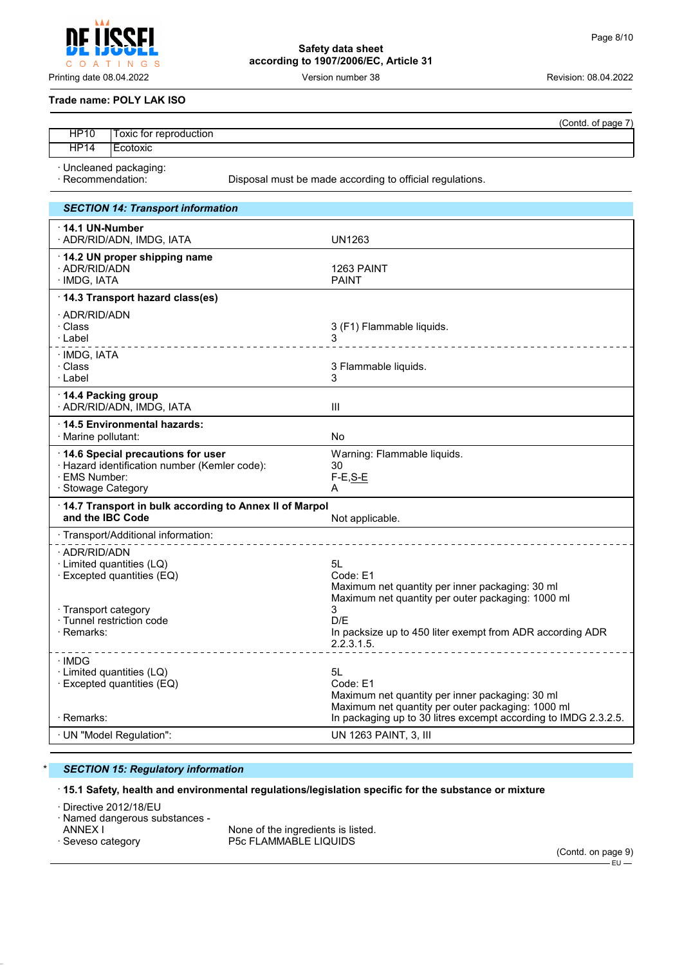**Safety data sheet according to 1907/2006/EC, Article 31**

Printing date 08.04.2022 Version number 38 Revision: 08.04.2022

#### **Trade name: POLY LAK ISO**

O A T I N G S

 $\mathsf{C}$ 

|                   |                        |                                                          | (Contd. of page 7) |
|-------------------|------------------------|----------------------------------------------------------|--------------------|
| <b>HP10</b>       | Toxic for reproduction |                                                          |                    |
| <b>HP14</b>       | l Ecotoxic             |                                                          |                    |
| · Recommendation: | · Uncleaned packaging: | Disposal must be made according to official regulations. |                    |

| <b>SECTION 14: Transport information</b>                                                            |                                                                                                                                                                                           |
|-----------------------------------------------------------------------------------------------------|-------------------------------------------------------------------------------------------------------------------------------------------------------------------------------------------|
| $\cdot$ 14.1 UN-Number<br>· ADR/RID/ADN, IMDG, IATA                                                 | UN1263                                                                                                                                                                                    |
| 14.2 UN proper shipping name<br>· ADR/RID/ADN<br>· IMDG, IATA                                       | 1263 PAINT<br><b>PAINT</b>                                                                                                                                                                |
| 14.3 Transport hazard class(es)                                                                     |                                                                                                                                                                                           |
| · ADR/RID/ADN<br>· Class<br>· Label                                                                 | 3 (F1) Flammable liquids.<br>3                                                                                                                                                            |
| · IMDG, IATA<br>· Class<br>· Label                                                                  | 3 Flammable liquids.<br>3                                                                                                                                                                 |
| 14.4 Packing group<br>· ADR/RID/ADN, IMDG, IATA                                                     | III                                                                                                                                                                                       |
| · 14.5 Environmental hazards:<br>· Marine pollutant:                                                | No                                                                                                                                                                                        |
| 14.6 Special precautions for user<br>· Hazard identification number (Kemler code):<br>· EMS Number: | Warning: Flammable liquids.<br>30<br>$F-E, S-E$                                                                                                                                           |
| · Stowage Category                                                                                  | A                                                                                                                                                                                         |
| 14.7 Transport in bulk according to Annex II of Marpol<br>and the IBC Code                          | Not applicable.                                                                                                                                                                           |
| · Transport/Additional information:                                                                 |                                                                                                                                                                                           |
| · ADR/RID/ADN<br>· Limited quantities (LQ)<br>· Excepted quantities (EQ)                            | 5L<br>Code: E1<br>Maximum net quantity per inner packaging: 30 ml                                                                                                                         |
| · Transport category<br>· Tunnel restriction code<br>· Remarks:                                     | Maximum net quantity per outer packaging: 1000 ml<br>3<br>D/F<br>In packsize up to 450 liter exempt from ADR according ADR<br>2.2.3.1.5.<br><u>.</u>                                      |
| · IMDG<br>· Limited quantities (LQ)<br>· Excepted quantities (EQ)<br>· Remarks:                     | 5L<br>Code: E1<br>Maximum net quantity per inner packaging: 30 ml<br>Maximum net quantity per outer packaging: 1000 ml<br>In packaging up to 30 litres excempt according to IMDG 2.3.2.5. |
| · UN "Model Regulation":                                                                            | UN 1263 PAINT, 3, III                                                                                                                                                                     |

## \* *SECTION 15: Regulatory information*

## · **15.1 Safety, health and environmental regulations/legislation specific for the substance or mixture**

· Directive 2012/18/EU

· Named dangerous substances -

ANNEX I  $\overline{a}$  ANNEX I  $\overline{a}$  None of the ingredients is listed. P5c FLAMMABLE LIQUIDS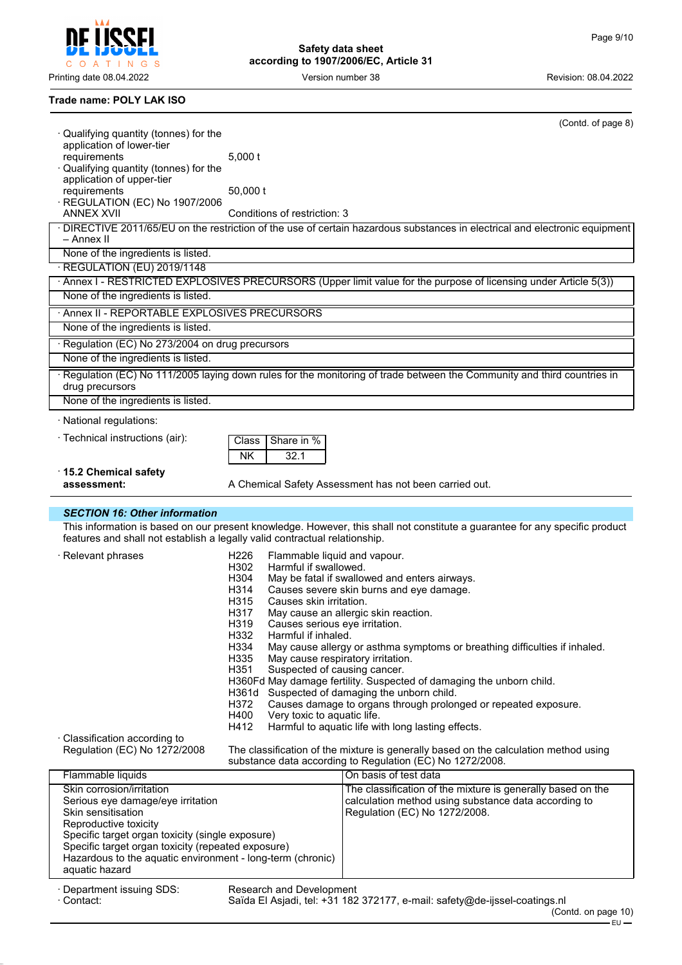$\mathsf{C}$ O A T I N G S

**Safety data sheet according to 1907/2006/EC, Article 31**

Printing date 08.04.2022 **Version number 38** Version number 38 Revision: 08.04.2022

## **Trade name: POLY LAK ISO**

| ∙ Qualifying quantity (tonnes) for the                                       |                                                | (Contd. of page 8)                                                                                                          |
|------------------------------------------------------------------------------|------------------------------------------------|-----------------------------------------------------------------------------------------------------------------------------|
| application of lower-tier                                                    |                                                |                                                                                                                             |
| requirements                                                                 | $5,000$ t                                      |                                                                                                                             |
| Qualifying quantity (tonnes) for the                                         |                                                |                                                                                                                             |
| application of upper-tier<br>requirements                                    | $50,000$ t                                     |                                                                                                                             |
| REGULATION (EC) No 1907/2006                                                 |                                                |                                                                                                                             |
| <b>ANNEX XVII</b>                                                            | Conditions of restriction: 3                   |                                                                                                                             |
|                                                                              |                                                | · DIRECTIVE 2011/65/EU on the restriction of the use of certain hazardous substances in electrical and electronic equipment |
| – Annex II                                                                   |                                                |                                                                                                                             |
| None of the ingredients is listed.                                           |                                                |                                                                                                                             |
| · REGULATION (EU) 2019/1148                                                  |                                                |                                                                                                                             |
|                                                                              |                                                | · Annex I - RESTRICTED EXPLOSIVES PRECURSORS (Upper limit value for the purpose of licensing under Article 5(3))            |
| None of the ingredients is listed.                                           |                                                |                                                                                                                             |
| · Annex II - REPORTABLE EXPLOSIVES PRECURSORS                                |                                                |                                                                                                                             |
| None of the ingredients is listed.                                           |                                                |                                                                                                                             |
| · Regulation (EC) No 273/2004 on drug precursors                             |                                                |                                                                                                                             |
| None of the ingredients is listed.                                           |                                                |                                                                                                                             |
| drug precursors                                                              |                                                | Regulation (EC) No 111/2005 laying down rules for the monitoring of trade between the Community and third countries in      |
| None of the ingredients is listed.                                           |                                                |                                                                                                                             |
| · National regulations:                                                      |                                                |                                                                                                                             |
| · Technical instructions (air):                                              |                                                |                                                                                                                             |
|                                                                              | Share in %<br>Class                            |                                                                                                                             |
|                                                                              | <b>NK</b><br>32.1                              |                                                                                                                             |
| ⋅15.2 Chemical safety<br>assessment:                                         |                                                |                                                                                                                             |
|                                                                              |                                                | A Chemical Safety Assessment has not been carried out.                                                                      |
|                                                                              |                                                |                                                                                                                             |
| <b>SECTION 16: Other information</b>                                         |                                                |                                                                                                                             |
|                                                                              |                                                | This information is based on our present knowledge. However, this shall not constitute a guarantee for any specific product |
| features and shall not establish a legally valid contractual relationship.   |                                                |                                                                                                                             |
| · Relevant phrases                                                           | H226<br>Flammable liquid and vapour.           |                                                                                                                             |
|                                                                              | Harmful if swallowed.<br>H302                  |                                                                                                                             |
|                                                                              | H304                                           | May be fatal if swallowed and enters airways.                                                                               |
|                                                                              | H314                                           | Causes severe skin burns and eye damage.                                                                                    |
|                                                                              | H315<br>Causes skin irritation.                |                                                                                                                             |
|                                                                              | H317<br>H319<br>Causes serious eye irritation. | May cause an allergic skin reaction.                                                                                        |
|                                                                              | H332<br>Harmful if inhaled.                    |                                                                                                                             |
|                                                                              | H334                                           | May cause allergy or asthma symptoms or breathing difficulties if inhaled.                                                  |
|                                                                              | H335<br>May cause respiratory irritation.      |                                                                                                                             |
|                                                                              | H351<br>Suspected of causing cancer.           |                                                                                                                             |
|                                                                              |                                                | H360Fd May damage fertility. Suspected of damaging the unborn child.<br>H361d Suspected of damaging the unborn child.       |
|                                                                              | H372                                           | Causes damage to organs through prolonged or repeated exposure.                                                             |
|                                                                              | H400<br>Very toxic to aquatic life.            |                                                                                                                             |
|                                                                              | H412                                           | Harmful to aquatic life with long lasting effects.                                                                          |
| · Classification according to<br>Regulation (EC) No 1272/2008                |                                                | The classification of the mixture is generally based on the calculation method using                                        |
|                                                                              |                                                | substance data according to Regulation (EC) No 1272/2008.                                                                   |
| Flammable liquids                                                            |                                                | On basis of test data                                                                                                       |
| Skin corrosion/irritation                                                    |                                                | The classification of the mixture is generally based on the                                                                 |
| Serious eye damage/eye irritation                                            |                                                | calculation method using substance data according to                                                                        |
| Skin sensitisation                                                           |                                                | Regulation (EC) No 1272/2008.                                                                                               |
| Reproductive toxicity<br>Specific target organ toxicity (single exposure)    |                                                |                                                                                                                             |
| Specific target organ toxicity (repeated exposure)                           |                                                |                                                                                                                             |
| Hazardous to the aquatic environment - long-term (chronic)<br>aquatic hazard |                                                |                                                                                                                             |

· Contact: Saïda El Asjadi, tel: +31 182 372177, e-mail: safety@de-ijssel-coatings.nl

<sup>·</sup> Department issuing SDS: Research and Development